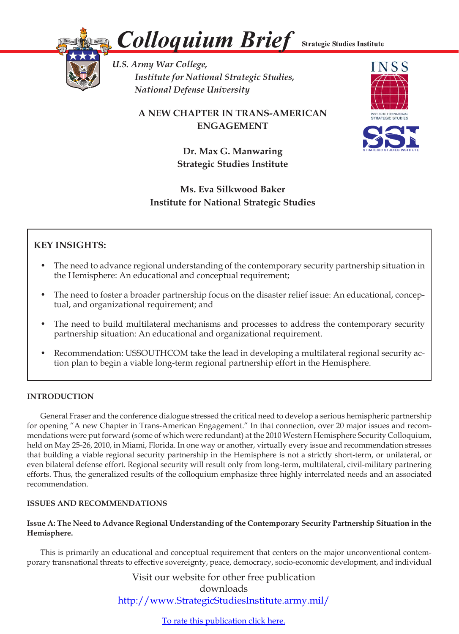

*Colloquium Brief*

**Strategic Studies Institute** 

*U.S. Army War College, Institute for National Strategic Studies, National Defense University* 

> **A NEW CHAPTER IN TRANS-AMERICAN ENGAGEMENT**



**Dr. Max G. Manwaring Strategic Studies Institute**

# **Ms. Eva Silkwood Baker Institute for National Strategic Studies**

# **KEY INSIGHTS:**

- The need to advance regional understanding of the contemporary security partnership situation in the Hemisphere: An educational and conceptual requirement;
- The need to foster a broader partnership focus on the disaster relief issue: An educational, conceptual, and organizational requirement; and
- The need to build multilateral mechanisms and processes to address the contemporary security partnership situation: An educational and organizational requirement.
- Recommendation: USSOUTHCOM take the lead in developing a multilateral regional security action plan to begin a viable long-term regional partnership effort in the Hemisphere.

# **INTRODUCTION**

 General Fraser and the conference dialogue stressed the critical need to develop a serious hemispheric partnership for opening "A new Chapter in Trans-American Engagement." In that connection, over 20 major issues and recommendations were put forward (some of which were redundant) at the 2010 Western Hemisphere Security Colloquium, held on May 25-26, 2010, in Miami, Florida. In one way or another, virtually every issue and recommendation stresses that building a viable regional security partnership in the Hemisphere is not a strictly short-term, or unilateral, or even bilateral defense effort. Regional security will result only from long-term, multilateral, civil-military partnering efforts. Thus, the generalized results of the colloquium emphasize three highly interrelated needs and an associated recommendation.

## **ISSUES AND RECOMMENDATIONS**

# **Issue A: The Need to Advance Regional Understanding of the Contemporary Security Partnership Situation in the Hemisphere.**

 This is primarily an educational and conceptual requirement that centers on the major unconventional contemporary transnational threats to effective sovereignty, peace, democracy, socio-economic development, and individual

> Visit our website for other free publication downloads http://www.StrategicStudiesInstitute.army.mil/

> > To rate this [publication](http://www.strategicstudiesinstitute.army.mil/pubs/display.cfm?pubID=1024) click here.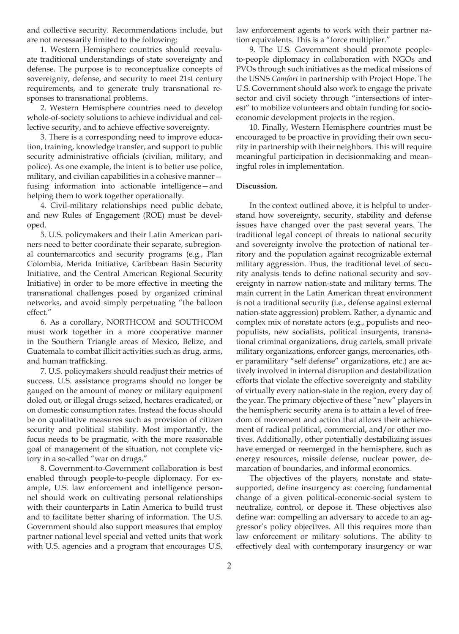and collective security. Recommendations include, but are not necessarily limited to the following:

 1. Western Hemisphere countries should reevaluate traditional understandings of state sovereignty and defense. The purpose is to reconceptualize concepts of sovereignty, defense, and security to meet 21st century requirements, and to generate truly transnational responses to transnational problems.

2. Western Hemisphere countries need to develop whole-of-society solutions to achieve individual and collective security, and to achieve effective sovereignty.

 3. There is a corresponding need to improve education, training, knowledge transfer, and support to public security administrative officials (civilian, military, and police). As one example, the intent is to better use police, military, and civilian capabilities in a cohesive manner fusing information into actionable intelligence—and helping them to work together operationally.

 4. Civil-military relationships need public debate, and new Rules of Engagement (ROE) must be developed.

 5. U.S. policymakers and their Latin American partners need to better coordinate their separate, subregional counternarcotics and security programs (e.g., Plan Colombia, Merida Initiative, Caribbean Basin Security Initiative, and the Central American Regional Security Initiative) in order to be more effective in meeting the transnational challenges posed by organized criminal networks, and avoid simply perpetuating "the balloon effect."

6. As a corollary, NORTHCOM and SOUTHCOM must work together in a more cooperative manner in the Southern Triangle areas of Mexico, Belize, and Guatemala to combat illicit activities such as drug, arms, and human trafficking.

 7. U.S. policymakers should readjust their metrics of success. U.S. assistance programs should no longer be gauged on the amount of money or military equipment doled out, or illegal drugs seized, hectares eradicated, or on domestic consumption rates. Instead the focus should be on qualitative measures such as provision of citizen security and political stability. Most importantly, the focus needs to be pragmatic, with the more reasonable goal of management of the situation, not complete victory in a so-called "war on drugs."

8. Government-to-Government collaboration is best enabled through people-to-people diplomacy. For example, U.S. law enforcement and intelligence personnel should work on cultivating personal relationships with their counterparts in Latin America to build trust and to facilitate better sharing of information. The U.S. Government should also support measures that employ partner national level special and vetted units that work with U.S. agencies and a program that encourages U.S.

law enforcement agents to work with their partner nation equivalents. This is a "force multiplier."

 9. The U.S. Government should promote peopleto-people diplomacy in collaboration with NGOs and PVOs through such initiatives as the medical missions of the USNS *Comfort* in partnership with Project Hope. The U.S. Government should also work to engage the private sector and civil society through "intersections of interest" to mobilize volunteers and obtain funding for socioeconomic development projects in the region.

 10. Finally, Western Hemisphere countries must be encouraged to be proactive in providing their own security in partnership with their neighbors. This will require meaningful participation in decisionmaking and meaningful roles in implementation.

#### **Discussion.**

In the context outlined above, it is helpful to understand how sovereignty, security, stability and defense issues have changed over the past several years. The traditional legal concept of threats to national security and sovereignty involve the protection of national territory and the population against recognizable external military aggression. Thus, the traditional level of security analysis tends to define national security and sovereignty in narrow nation-state and military terms. The main current in the Latin American threat environment is not a traditional security (i.e., defense against external nation-state aggression) problem. Rather, a dynamic and complex mix of nonstate actors (e.g., populists and neopopulists, new socialists, political insurgents, transnational criminal organizations, drug cartels, small private military organizations, enforcer gangs, mercenaries, other paramilitary "self defense" organizations, etc.) are actively involved in internal disruption and destabilization efforts that violate the effective sovereignty and stability of virtually every nation-state in the region, every day of the year. The primary objective of these "new" players in the hemispheric security arena is to attain a level of freedom of movement and action that allows their achievement of radical political, commercial, and/or other motives. Additionally, other potentially destabilizing issues have emerged or reemerged in the hemisphere, such as energy resources, missile defense, nuclear power, demarcation of boundaries, and informal economics.

 The objectives of the players, nonstate and statesupported, define insurgency as: coercing fundamental change of a given political-economic-social system to neutralize, control, or depose it. These objectives also define war: compelling an adversary to accede to an aggressor's policy objectives. All this requires more than law enforcement or military solutions. The ability to effectively deal with contemporary insurgency or war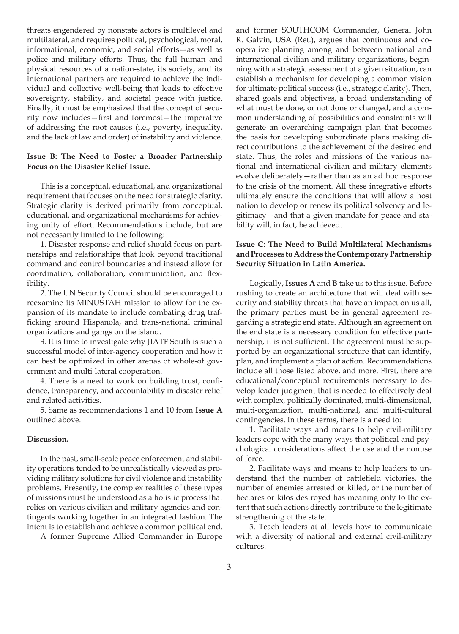threats engendered by nonstate actors is multilevel and multilateral, and requires political, psychological, moral, informational, economic, and social efforts—as well as police and military efforts. Thus, the full human and physical resources of a nation-state, its society, and its international partners are required to achieve the individual and collective well-being that leads to effective sovereignty, stability, and societal peace with justice. Finally, it must be emphasized that the concept of security now includes—first and foremost—the imperative of addressing the root causes (i.e., poverty, inequality, and the lack of law and order) of instability and violence.

### **Issue B: The Need to Foster a Broader Partnership Focus on the Disaster Relief Issue.**

 This is a conceptual, educational, and organizational requirement that focuses on the need for strategic clarity. Strategic clarity is derived primarily from conceptual, educational, and organizational mechanisms for achieving unity of effort. Recommendations include, but are not necessarily limited to the following:

 1. Disaster response and relief should focus on partnerships and relationships that look beyond traditional command and control boundaries and instead allow for coordination, collaboration, communication, and flexibility.

 2. The UN Security Council should be encouraged to reexamine its MINUSTAH mission to allow for the expansion of its mandate to include combating drug trafficking around Hispanola, and trans-national criminal organizations and gangs on the island.

 3. It is time to investigate why JIATF South is such a successful model of inter-agency cooperation and how it can best be optimized in other arenas of whole-of government and multi-lateral cooperation.

 4. There is a need to work on building trust, confidence, transparency, and accountability in disaster relief and related activities.

 5. Same as recommendations 1 and 10 from **Issue A** outlined above.

#### **Discussion.**

 In the past, small-scale peace enforcement and stability operations tended to be unrealistically viewed as providing military solutions for civil violence and instability problems. Presently, the complex realities of these types of missions must be understood as a holistic process that relies on various civilian and military agencies and contingents working together in an integrated fashion. The intent is to establish and achieve a common political end.

A former Supreme Allied Commander in Europe

and former SOUTHCOM Commander, General John R. Galvin, USA (Ret.), argues that continuous and cooperative planning among and between national and international civilian and military organizations, beginning with a strategic assessment of a given situation, can establish a mechanism for developing a common vision for ultimate political success (i.e., strategic clarity). Then, shared goals and objectives, a broad understanding of what must be done, or not done or changed, and a common understanding of possibilities and constraints will generate an overarching campaign plan that becomes the basis for developing subordinate plans making direct contributions to the achievement of the desired end state. Thus, the roles and missions of the various national and international civilian and military elements evolve deliberately—rather than as an ad hoc response to the crisis of the moment. All these integrative efforts ultimately ensure the conditions that will allow a host nation to develop or renew its political solvency and legitimacy—and that a given mandate for peace and stability will, in fact, be achieved.

### **Issue C: The Need to Build Multilateral Mechanisms and Processes to Address the Contemporary Partnership Security Situation in Latin America.**

Logically, **Issues A** and **B** take us to this issue. Before rushing to create an architecture that will deal with security and stability threats that have an impact on us all, the primary parties must be in general agreement regarding a strategic end state. Although an agreement on the end state is a necessary condition for effective partnership, it is not sufficient. The agreement must be supported by an organizational structure that can identify, plan, and implement a plan of action. Recommendations include all those listed above, and more. First, there are educational/conceptual requirements necessary to develop leader judgment that is needed to effectively deal with complex, politically dominated, multi-dimensional, multi-organization, multi-national, and multi-cultural contingencies. In these terms, there is a need to:

 1. Facilitate ways and means to help civil-military leaders cope with the many ways that political and psychological considerations affect the use and the nonuse of force.

 2. Facilitate ways and means to help leaders to understand that the number of battlefield victories, the number of enemies arrested or killed, or the number of hectares or kilos destroyed has meaning only to the extent that such actions directly contribute to the legitimate strengthening of the state.

 3. Teach leaders at all levels how to communicate with a diversity of national and external civil-military cultures.